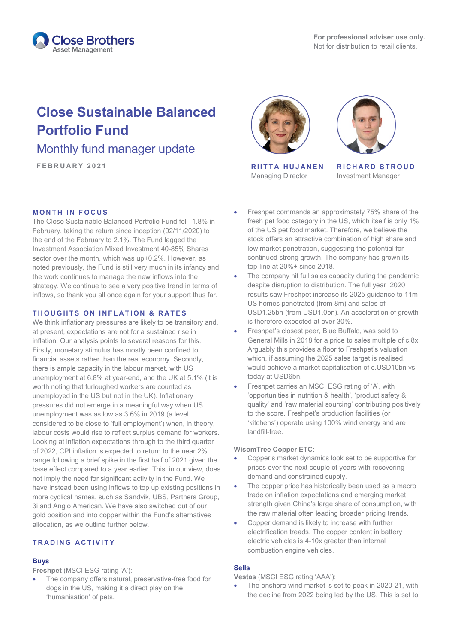

# **Close Sustainable Balanced Portfolio Fund**

# Monthly fund manager update

**FEBRUARY 2021 RIITTA HUJANEN**

# **MONTH IN FOCUS**

The Close Sustainable Balanced Portfolio Fund fell -1.8% in February, taking the return since inception (02/11/2020) to the end of the February to 2.1%. The Fund lagged the Investment Association Mixed Investment 40-85% Shares sector over the month, which was up+0.2%. However, as noted previously, the Fund is still very much in its infancy and the work continues to manage the new inflows into the strategy. We continue to see a very positive trend in terms of inflows, so thank you all once again for your support thus far.

## **T H OUGHTS ON INFLATION & RATES**

We think inflationary pressures are likely to be transitory and, at present, expectations are not for a sustained rise in inflation. Our analysis points to several reasons for this. Firstly, monetary stimulus has mostly been confined to financial assets rather than the real economy. Secondly, there is ample capacity in the labour market, with US unemployment at 6.8% at year-end, and the UK at 5.1% (it is worth noting that furloughed workers are counted as unemployed in the US but not in the UK). Inflationary pressures did not emerge in a meaningful way when US unemployment was as low as 3.6% in 2019 (a level considered to be close to 'full employment') when, in theory, labour costs would rise to reflect surplus demand for workers. Looking at inflation expectations through to the third quarter of 2022, CPI inflation is expected to return to the near 2% range following a brief spike in the first half of 2021 given the base effect compared to a year earlier. This, in our view, does not imply the need for significant activity in the Fund. We have instead been using inflows to top up existing positions in more cyclical names, such as Sandvik, UBS, Partners Group, 3i and Anglo American. We have also switched out of our gold position and into copper within the Fund's alternatives allocation, as we outline further below.

# **TRADING ACTIVITY**

#### **Buys**

**Freshpet** (MSCI ESG rating 'A'):

The company offers natural, preservative-free food for dogs in the US, making it a direct play on the 'humanisation' of pets.





Managing Director

**RICHARD STROUD** Investment Manager

- Freshpet commands an approximately 75% share of the fresh pet food category in the US, which itself is only 1% of the US pet food market. Therefore, we believe the stock offers an attractive combination of high share and low market penetration, suggesting the potential for continued strong growth. The company has grown its top-line at 20%+ since 2018.
- The company hit full sales capacity during the pandemic despite disruption to distribution. The full year 2020 results saw Freshpet increase its 2025 guidance to 11m US homes penetrated (from 8m) and sales of USD1.25bn (from USD1.0bn). An acceleration of growth is therefore expected at over 30%.
- Freshpet's closest peer, Blue Buffalo, was sold to General Mills in 2018 for a price to sales multiple of c.8x. Arguably this provides a floor to Freshpet's valuation which, if assuming the 2025 sales target is realised. would achieve a market capitalisation of c.USD10bn vs today at USD6bn.
- Freshpet carries an MSCI ESG rating of 'A', with 'opportunities in nutrition & health', 'product safety & quality' and 'raw material sourcing' contributing positively to the score. Freshpet's production facilities (or 'kitchens') operate using 100% wind energy and are landfill-free.

# **WisomTree Copper ETC**:

- Copper's market dynamics look set to be supportive for prices over the next couple of years with recovering demand and constrained supply.
- The copper price has historically been used as a macro trade on inflation expectations and emerging market strength given China's large share of consumption, with the raw material often leading broader pricing trends.
- Copper demand is likely to increase with further electrification treads. The copper content in battery electric vehicles is 4-10x greater than internal combustion engine vehicles.

# **Sells**

**Vestas** (MSCI ESG rating 'AAA'):

The onshore wind market is set to peak in 2020-21, with the decline from 2022 being led by the US. This is set to